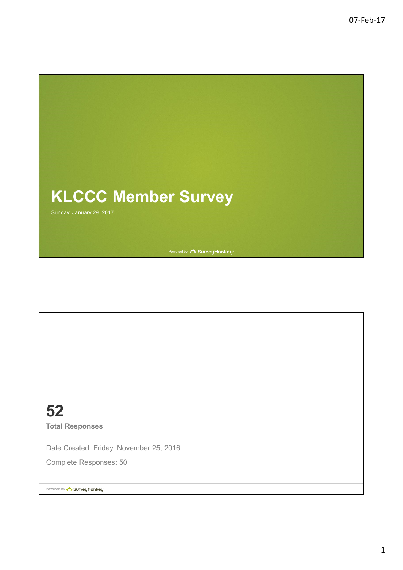

52 Total Responses

Date Created: Friday, November 25, 2016

Complete Responses: 50

Powered by **Construction SurveyMonkey**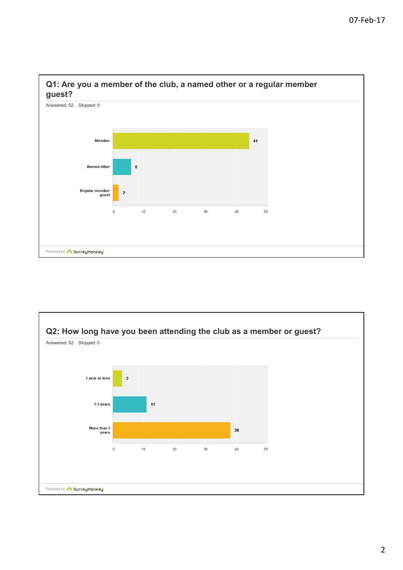



### 2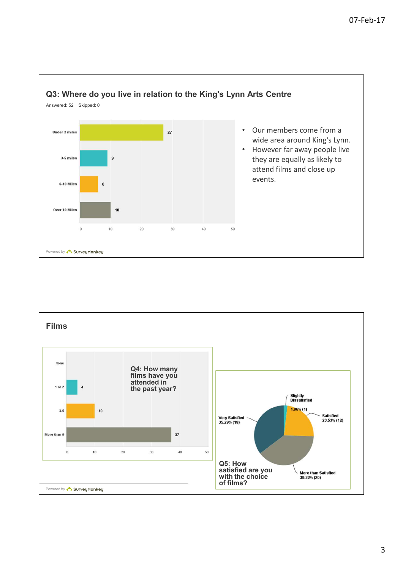

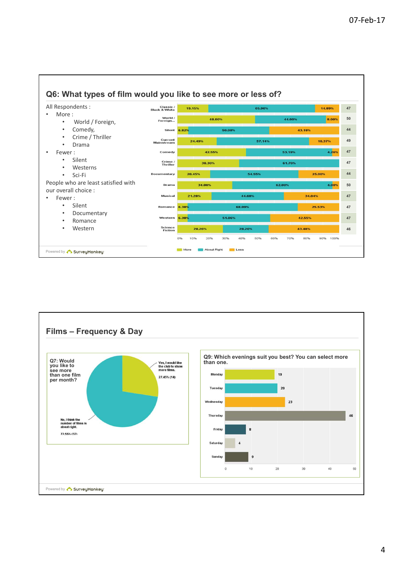

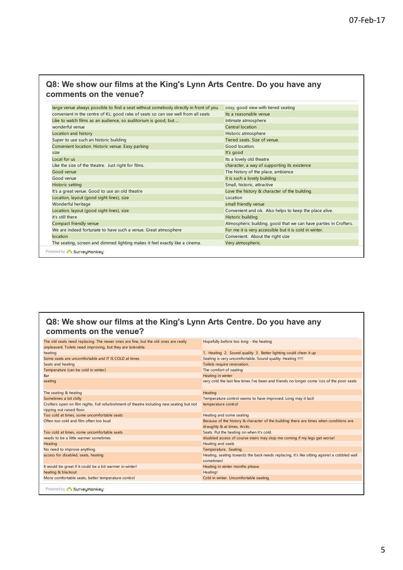### Q8: We show our films at the King's Lynn Arts Centre. Do you have any comments on the venue?

|                                                                                                                             | 07-Feb-17 |
|-----------------------------------------------------------------------------------------------------------------------------|-----------|
|                                                                                                                             |           |
|                                                                                                                             |           |
|                                                                                                                             |           |
|                                                                                                                             |           |
|                                                                                                                             |           |
|                                                                                                                             |           |
|                                                                                                                             |           |
|                                                                                                                             |           |
| Q8: We show our films at the King's Lynn Arts Centre. Do you have any                                                       |           |
| comments on the venue?                                                                                                      |           |
|                                                                                                                             |           |
| large venue always possible to find a seat without somebody directly in front of you<br>cosy, good view with tiered seating |           |
| convenient in the centre of KL; good rake of seats so can see well from all seats<br>Its a reasonable venue                 |           |
| Like to watch films as an audience, so auditorium is good, but<br>Intimate atmosphere                                       |           |
| wonderful venue<br>Central location                                                                                         |           |
| Location and history<br>Historic atmosphere                                                                                 |           |
| Tiered seats. Size of venue.<br>Super to use such an historic building<br>Good location.                                    |           |
| Convenient location. Historic venue. Easy parking<br>It's good<br>size                                                      |           |
| Local for us<br>Its a lovely old theatre                                                                                    |           |
| Like the size of the theatre. Just right for films.<br>character, a way of supporting its existence                         |           |
| Good venue<br>The history of the place, ambience                                                                            |           |
| Good venue<br>it is such a lovely building                                                                                  |           |
| <b>Historic setting</b><br>Small, historic, attractive                                                                      |           |
| It's a great venue. Good to use an old theatre<br>Love the history & character of the building.                             |           |
| Location, layout (good sight lines), size<br>Location                                                                       |           |
| Wonderful heritage<br>small friendly venue                                                                                  |           |
| Convenient and ok. Also helps to keep the place alive.<br>Location, layout (good sight lines), size<br>it's still there     |           |
| Historic building<br>Atmospheric building, good that we can have parties in Crofters.<br>Compact friendly venue             |           |
| We are indeed fortunate to have such a venue. Great atmosphere<br>For me it is very accessible but it is cold in winter.    |           |
| location<br>Convenient. About the right size                                                                                |           |
| The seating, screen and dimmed lighting makes it feel exactly like a cinema.<br>Very atmospheric.                           |           |
|                                                                                                                             |           |
| Powered by <b>C</b> SurveuMonkeu                                                                                            |           |

## Q8: We show our films at the King's Lynn Arts Centre. Do you have any comments on the venue?

| It's a great venue. Good to use an old theatre<br>Location, layout (good sight lines), size<br>Wonderful heritage                                                                                                                                     | Love the history & character of the building.<br>Location                                                              |
|-------------------------------------------------------------------------------------------------------------------------------------------------------------------------------------------------------------------------------------------------------|------------------------------------------------------------------------------------------------------------------------|
|                                                                                                                                                                                                                                                       |                                                                                                                        |
|                                                                                                                                                                                                                                                       |                                                                                                                        |
|                                                                                                                                                                                                                                                       | small friendly venue                                                                                                   |
| Location, layout (good sight lines), size                                                                                                                                                                                                             | Convenient and ok. Also helps to keep the place alive.                                                                 |
| it's still there                                                                                                                                                                                                                                      | Historic building                                                                                                      |
| Compact friendly venue                                                                                                                                                                                                                                | Atmospheric building, good that we can have parties in Crofters.                                                       |
| We are indeed fortunate to have such a venue. Great atmosphere                                                                                                                                                                                        | For me it is very accessible but it is cold in winter.                                                                 |
|                                                                                                                                                                                                                                                       |                                                                                                                        |
| location                                                                                                                                                                                                                                              | Convenient. About the right size                                                                                       |
| The seating, screen and dimmed lighting makes it feel exactly like a cinema.                                                                                                                                                                          | Very atmospheric.                                                                                                      |
| Powered by CourveyMonkey                                                                                                                                                                                                                              |                                                                                                                        |
| Q8: We show our films at the King's Lynn Arts Centre. Do you have any                                                                                                                                                                                 |                                                                                                                        |
| comments on the venue?                                                                                                                                                                                                                                |                                                                                                                        |
| The old seats need replacing. The newer ones are fine, but the old ones are really<br>unpleasant. Toilets need improving, but they are tolerable.                                                                                                     | Hopefully before too long - the heating                                                                                |
| heating                                                                                                                                                                                                                                               | 1. Heating 2. Sound quality 3. Better lighting could cheer it up                                                       |
| Some seats are uncomfortable and IT IS COLD at times                                                                                                                                                                                                  | Seating is very uncomfortable. Sound quality. Heating !!!!!                                                            |
| Seats and heating                                                                                                                                                                                                                                     | Toilets require renovation.                                                                                            |
| Temperature (can be cold in winter)                                                                                                                                                                                                                   | The comfort of seating                                                                                                 |
|                                                                                                                                                                                                                                                       |                                                                                                                        |
|                                                                                                                                                                                                                                                       | Heating in winter                                                                                                      |
|                                                                                                                                                                                                                                                       | very cold the last few times I've been and friends no longer come 'cos of the poor seats                               |
|                                                                                                                                                                                                                                                       | Heating                                                                                                                |
|                                                                                                                                                                                                                                                       | Temperature control seems to have improved. Long may it last!                                                          |
| Bar<br>seating<br>The seating & heating<br>Sometimes a bit chilly<br>Crofters open on film nights. Full refurbishment of theatre including new seating but not                                                                                        | temperature control                                                                                                    |
|                                                                                                                                                                                                                                                       | Heating and some seating                                                                                               |
|                                                                                                                                                                                                                                                       | Because of the history & character of the building there are times when conditions are                                 |
|                                                                                                                                                                                                                                                       | draughty & at times, Arctic.                                                                                           |
|                                                                                                                                                                                                                                                       | Seats. Put the heating on when it's cold.<br>disabled access of course-stairs may stop me coming if my legs get worse! |
|                                                                                                                                                                                                                                                       | Heating and seats                                                                                                      |
| ripping out raised floor.<br>Too cold at times, some uncomfortable seats<br>Often too cold and film often too loud<br>Too cold at times, some uncomfortable seats<br>needs to be a little warmer sometimes<br>Heating<br>No need to improve anything. | Temperature. Seating.                                                                                                  |
| access for disabled, seats, heating                                                                                                                                                                                                                   | Heating, seating towards the back needs replacing, it's like sitting against a cobbled wall<br>sometimes!              |
|                                                                                                                                                                                                                                                       | Heating in winter months please                                                                                        |
| It would be great if it could be a bit warmer in winter!<br>heating & blackout                                                                                                                                                                        | Heating!                                                                                                               |
| More comfortable seats, better temperature control                                                                                                                                                                                                    | Cold in winter. Uncomfortable seating.                                                                                 |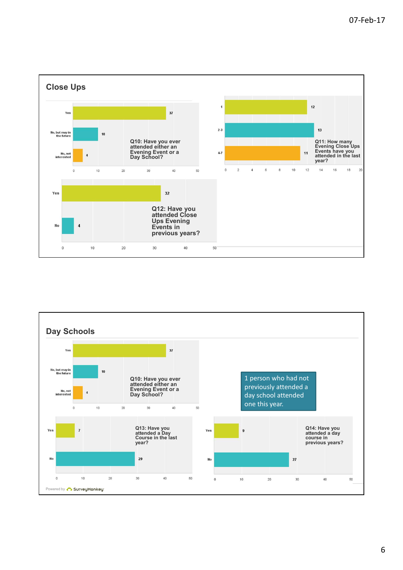

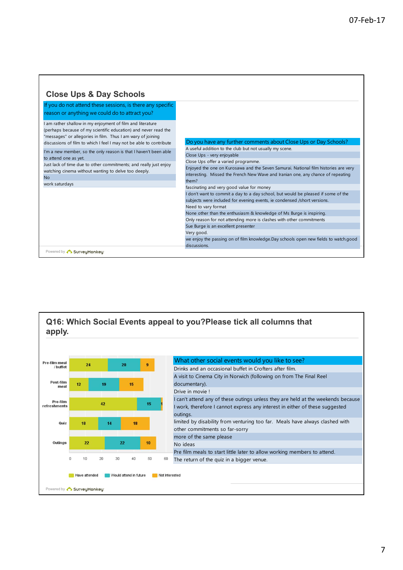٦

| <b>Close Ups &amp; Day Schools</b>                                                                                                                                                                                                                                |                                                                                                                                                                                                                                                                                                                                                                                                                                      |
|-------------------------------------------------------------------------------------------------------------------------------------------------------------------------------------------------------------------------------------------------------------------|--------------------------------------------------------------------------------------------------------------------------------------------------------------------------------------------------------------------------------------------------------------------------------------------------------------------------------------------------------------------------------------------------------------------------------------|
| If you do not attend these sessions, is there any specific<br>reason or anything we could do to attract you?                                                                                                                                                      |                                                                                                                                                                                                                                                                                                                                                                                                                                      |
| am rather shallow in my enjoyment of film and literature<br>(perhaps because of my scientific education) and never read the<br>"messages" or allegories in film. Thus I am wary of joining<br>discussions of film to which I feel I may not be able to contribute | Do you have any further comments about Close Ups or Day Schools?                                                                                                                                                                                                                                                                                                                                                                     |
| I'm a new member, so the only reason is that I haven't been able<br>to attend one as yet.<br>Just lack of time due to other commitments; and really just enjoy<br>watching cinema without wanting to delve too deeply.<br><b>No</b><br>work saturdays             | A useful addition to the club but not usually my scene.<br>Close Ups - very enjoyable<br>Close Ups offer a varied programme.<br>Enjoyed the one on Kurosawa and the Seven Samurai. National film histories are very<br>interesting. Missed the French New Wave and Iranian one, any chance of repeating<br>them?                                                                                                                     |
|                                                                                                                                                                                                                                                                   | fascinating and very good value for money<br>don't want to commit a day to a day school, but would be pleased if some of the<br>subjects were included for evening events, ie condensed /short versions.<br>Need to vary format<br>None other than the enthusiasm & knowledge of Ms Burge is inspiring.<br>Only reason for not attending more is clashes with other commitments<br>Sue Burge is an excellent presenter<br>Very good. |
| Powered by <b>Construction SurveyMonkey</b>                                                                                                                                                                                                                       | we enjoy the passing on of film knowledge.Day schools open new fields to watch.good<br>discussions.                                                                                                                                                                                                                                                                                                                                  |

 $\Gamma$ 

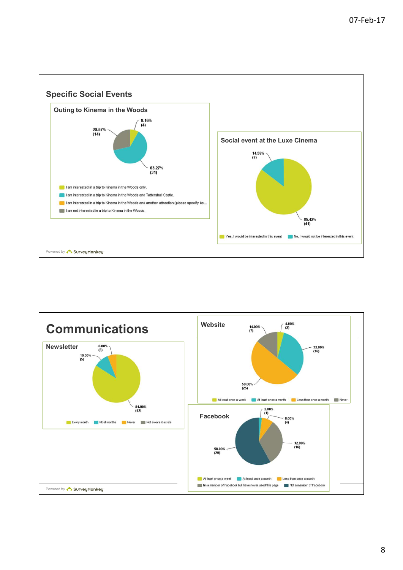

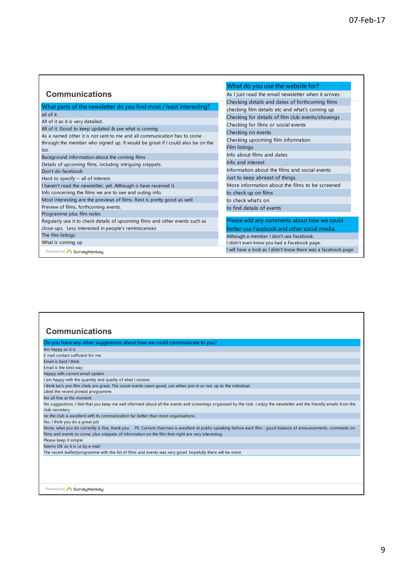|                                                                               | What do you use the website for?                              |
|-------------------------------------------------------------------------------|---------------------------------------------------------------|
| <b>Communications</b>                                                         | As I just read the email newsletter when it arrives           |
|                                                                               | Checking details and dates of forthcoming films               |
| What parts of the newsletter do you find most / least interesting?            | checking film details etc and what's coming up                |
| all of it                                                                     | Checking for details of film club events/showings             |
| All of it as it is very detailed.                                             | Checking for films or social events                           |
| All of it. Good to keep updated & see what is coming                          | Checking on events                                            |
| As a named other it is not sent to me and all communication has to come       | Checking upcoming film information                            |
| through the member who signed up. It would be great if I could also be on the | Film listings                                                 |
| list.                                                                         | Info about films and dates                                    |
| Background information about the coming films                                 | Info and interest                                             |
| Details of upcoming films, including intriguing snippets.                     | Information about the films and social events                 |
| Don't do facebook                                                             | Just to keep abreast of things.                               |
| Hard to specify $\sim$ all of interest.                                       | More information about the films to be screened               |
| I haven't read the newsletter, yet. Although o have received it.              |                                                               |
| Info concerning the films we are to see and outing info.                      | to check up on films                                          |
| Most interesting are the previews of films. Rest is pretty good as well       | to check what's on                                            |
| Preview of films, forthcoming events.                                         | to find details of events                                     |
| Programme plus film notes                                                     |                                                               |
| Regularly use it to check details of upcoming films and other events such as  | Please add any comments about how we could                    |
| close-ups. Less interested in people's reminiscences                          | better use Facebook and other social media.                   |
| The film listings                                                             | Although a member I don't use Facebook.                       |
| What is coming up                                                             | I didn't even know you had a Facebook page.                   |
| Powered by CourveyMonkey                                                      | I will have a look as I didn't know there was a facebook page |

# **Communications**

 $\Gamma$ 

| Do you have any other suggestions about how we could communicate to you?                                                                                                 |
|--------------------------------------------------------------------------------------------------------------------------------------------------------------------------|
| Am happy as it is                                                                                                                                                        |
| E mail contact sufficient for me.                                                                                                                                        |
| Email is best I think                                                                                                                                                    |
| Email is the best way.                                                                                                                                                   |
| Happy with current email system                                                                                                                                          |
| I am happy with the quantity and quality of what I receive.                                                                                                              |
| I think lan's pre-film chats are great. The social events seem good, can either join in or not, up to the individual.                                                    |
| Liked the recent printed programme.                                                                                                                                      |
| No all fine at the moment                                                                                                                                                |
| No suggestions. I feel that you keep me well informed about all the events and screenings organised by the club. I enjoy the newsletter and the friendly emails from the |
| club secretary                                                                                                                                                           |
| no the club is excellent with its communication far better than most organisations.                                                                                      |
| No, I think you do a great job                                                                                                                                           |
| None; what you do currently is fine, thank you. PS. Current chairman is excellent at public-speaking before each film - good balance of announcements, comments on       |
| films and events to come; plus snippets of information on the film that night are very interesting.                                                                      |
| Please keep it simple.                                                                                                                                                   |
| Seems OK as it is i.e by e-mail                                                                                                                                          |
| The recent leaflet/programme with the list of films and events was very good. hopefully there will be more                                                               |
|                                                                                                                                                                          |
|                                                                                                                                                                          |
|                                                                                                                                                                          |
|                                                                                                                                                                          |
|                                                                                                                                                                          |
| Powered by <b>C. SurveuMonkeu</b>                                                                                                                                        |